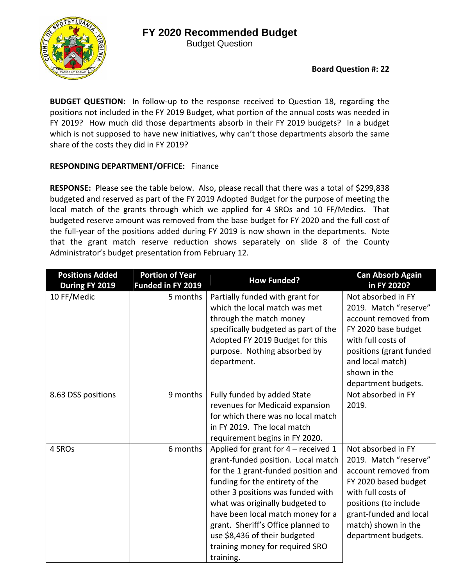## **FY 2020 Recommended Budget**

Budget Question



**BUDGET QUESTION:**  In follow‐up to the response received to Question 18, regarding the positions not included in the FY 2019 Budget, what portion of the annual costs was needed in FY 2019? How much did those departments absorb in their FY 2019 budgets? In a budget which is not supposed to have new initiatives, why can't those departments absorb the same share of the costs they did in FY 2019?

## **RESPONDING DEPARTMENT/OFFICE:** Finance

RESPONSE: Please see the table below. Also, please recall that there was a total of \$299,838 budgeted and reserved as part of the FY 2019 Adopted Budget for the purpose of meeting the local match of the grants through which we applied for 4 SROs and 10 FF/Medics. That budgeted reserve amount was removed from the base budget for FY 2020 and the full cost of the full-year of the positions added during FY 2019 is now shown in the departments. Note that the grant match reserve reduction shows separately on slide 8 of the County Administrator's budget presentation from February 12.

| <b>Positions Added</b><br>During FY 2019 | <b>Portion of Year</b><br>Funded in FY 2019 | <b>How Funded?</b>                                                                                                                                                                                                                                                                                                                                                                       | <b>Can Absorb Again</b><br>in FY 2020?                                                                                                                                                                             |
|------------------------------------------|---------------------------------------------|------------------------------------------------------------------------------------------------------------------------------------------------------------------------------------------------------------------------------------------------------------------------------------------------------------------------------------------------------------------------------------------|--------------------------------------------------------------------------------------------------------------------------------------------------------------------------------------------------------------------|
| 10 FF/Medic                              | 5 months                                    | Partially funded with grant for<br>which the local match was met<br>through the match money<br>specifically budgeted as part of the<br>Adopted FY 2019 Budget for this<br>purpose. Nothing absorbed by<br>department.                                                                                                                                                                    | Not absorbed in FY<br>2019. Match "reserve"<br>account removed from<br>FY 2020 base budget<br>with full costs of<br>positions (grant funded<br>and local match)<br>shown in the<br>department budgets.             |
| 8.63 DSS positions                       | 9 months                                    | Fully funded by added State<br>revenues for Medicaid expansion<br>for which there was no local match<br>in FY 2019. The local match<br>requirement begins in FY 2020.                                                                                                                                                                                                                    | Not absorbed in FY<br>2019.                                                                                                                                                                                        |
| 4 SROs                                   | 6 months                                    | Applied for grant for 4 - received 1<br>grant-funded position. Local match<br>for the 1 grant-funded position and<br>funding for the entirety of the<br>other 3 positions was funded with<br>what was originally budgeted to<br>have been local match money for a<br>grant. Sheriff's Office planned to<br>use \$8,436 of their budgeted<br>training money for required SRO<br>training. | Not absorbed in FY<br>2019. Match "reserve"<br>account removed from<br>FY 2020 based budget<br>with full costs of<br>positions (to include<br>grant-funded and local<br>match) shown in the<br>department budgets. |